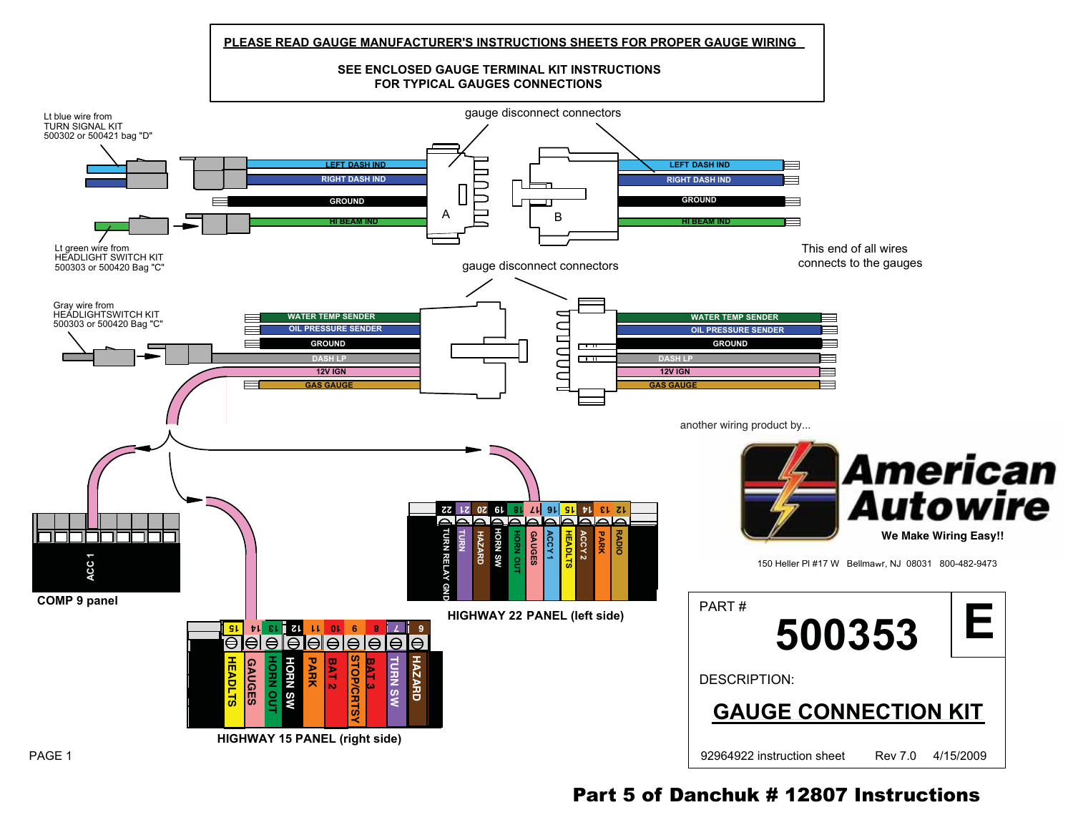



## PAGE 1

Part 5 of Danchuk # 12807 Instructions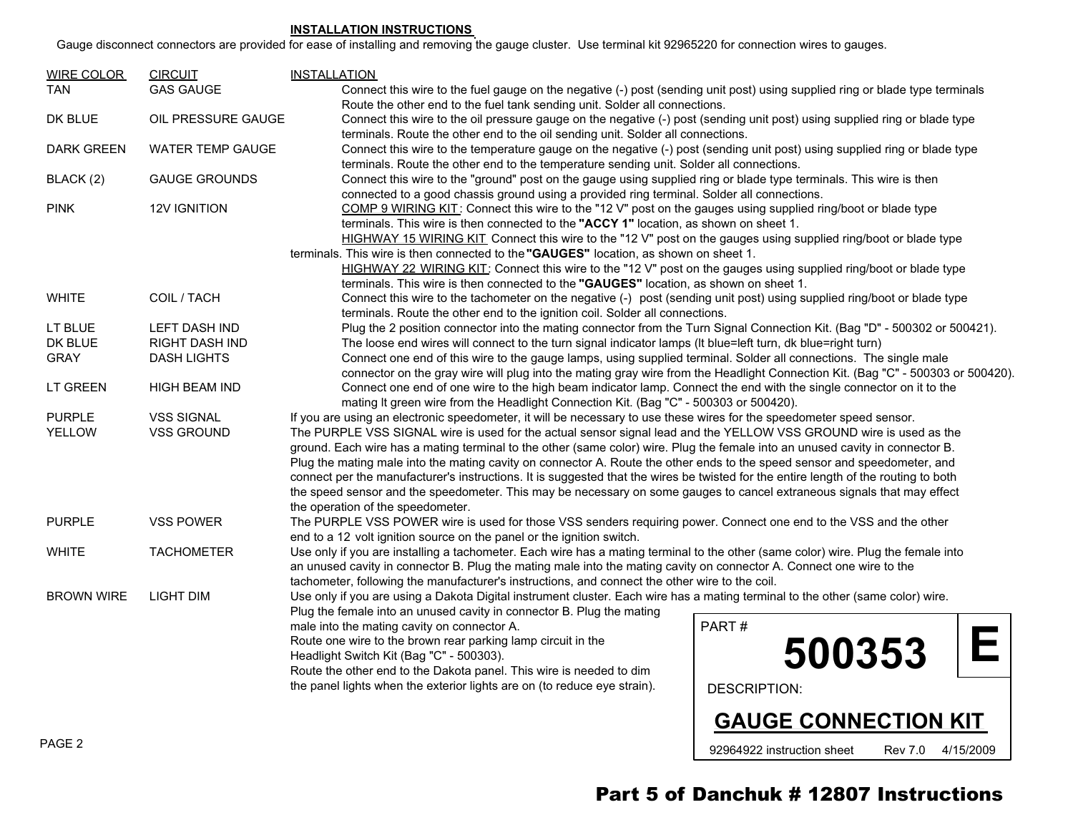## **INSTALLATION INSTRUCTIONS**

Gauge disconnect connectors are provided for ease of installing and removing the gauge cluster. Use terminal kit 92965220 for connection wires to gauges.

| <b>WIRE COLOR</b>                                                     | <b>CIRCUIT</b>                                                                                                                                                                                                                                                   | <b>INSTALLATION</b>                                                                                                                                                                                                                                  |                             |
|-----------------------------------------------------------------------|------------------------------------------------------------------------------------------------------------------------------------------------------------------------------------------------------------------------------------------------------------------|------------------------------------------------------------------------------------------------------------------------------------------------------------------------------------------------------------------------------------------------------|-----------------------------|
| <b>TAN</b>                                                            | <b>GAS GAUGE</b>                                                                                                                                                                                                                                                 | Connect this wire to the fuel gauge on the negative (-) post (sending unit post) using supplied ring or blade type terminals<br>Route the other end to the fuel tank sending unit. Solder all connections.                                           |                             |
| DK BLUE                                                               | OIL PRESSURE GAUGE                                                                                                                                                                                                                                               | Connect this wire to the oil pressure gauge on the negative (-) post (sending unit post) using supplied ring or blade type<br>terminals. Route the other end to the oil sending unit. Solder all connections.                                        |                             |
| DARK GREEN                                                            | <b>WATER TEMP GAUGE</b>                                                                                                                                                                                                                                          | Connect this wire to the temperature gauge on the negative (-) post (sending unit post) using supplied ring or blade type<br>terminals. Route the other end to the temperature sending unit. Solder all connections.                                 |                             |
| BLACK (2)                                                             | <b>GAUGE GROUNDS</b>                                                                                                                                                                                                                                             | Connect this wire to the "ground" post on the gauge using supplied ring or blade type terminals. This wire is then<br>connected to a good chassis ground using a provided ring terminal. Solder all connections.                                     |                             |
| <b>PINK</b>                                                           | 12V IGNITION                                                                                                                                                                                                                                                     | COMP 9 WIRING KIT: Connect this wire to the "12 V" post on the gauges using supplied ring/boot or blade type<br>terminals. This wire is then connected to the "ACCY 1" location, as shown on sheet 1.                                                |                             |
|                                                                       |                                                                                                                                                                                                                                                                  | HIGHWAY 15 WIRING KIT Connect this wire to the "12 V" post on the gauges using supplied ring/boot or blade type                                                                                                                                      |                             |
|                                                                       |                                                                                                                                                                                                                                                                  | terminals. This wire is then connected to the "GAUGES" location, as shown on sheet 1.<br>HIGHWAY 22 WIRING KIT: Connect this wire to the "12 V" post on the gauges using supplied ring/boot or blade type                                            |                             |
|                                                                       |                                                                                                                                                                                                                                                                  | terminals. This wire is then connected to the "GAUGES" location, as shown on sheet 1.                                                                                                                                                                |                             |
| <b>WHITE</b>                                                          | COIL / TACH                                                                                                                                                                                                                                                      | Connect this wire to the tachometer on the negative (-) post (sending unit post) using supplied ring/boot or blade type                                                                                                                              |                             |
|                                                                       |                                                                                                                                                                                                                                                                  | terminals. Route the other end to the ignition coil. Solder all connections.                                                                                                                                                                         |                             |
| LT BLUE                                                               | LEFT DASH IND                                                                                                                                                                                                                                                    | Plug the 2 position connector into the mating connector from the Turn Signal Connection Kit. (Bag "D" - 500302 or 500421).                                                                                                                           |                             |
| DK BLUE                                                               | RIGHT DASH IND                                                                                                                                                                                                                                                   | The loose end wires will connect to the turn signal indicator lamps (It blue=left turn, dk blue=right turn)                                                                                                                                          |                             |
| <b>GRAY</b>                                                           | <b>DASH LIGHTS</b>                                                                                                                                                                                                                                               | Connect one end of this wire to the gauge lamps, using supplied terminal. Solder all connections. The single male<br>connector on the gray wire will plug into the mating gray wire from the Headlight Connection Kit. (Bag "C" - 500303 or 500420). |                             |
| <b>LT GREEN</b>                                                       | <b>HIGH BEAM IND</b>                                                                                                                                                                                                                                             | Connect one end of one wire to the high beam indicator lamp. Connect the end with the single connector on it to the<br>mating It green wire from the Headlight Connection Kit. (Bag "C" - 500303 or 500420).                                         |                             |
| <b>PURPLE</b>                                                         | <b>VSS SIGNAL</b>                                                                                                                                                                                                                                                | If you are using an electronic speedometer, it will be necessary to use these wires for the speedometer speed sensor.                                                                                                                                |                             |
| <b>YELLOW</b>                                                         | <b>VSS GROUND</b>                                                                                                                                                                                                                                                | The PURPLE VSS SIGNAL wire is used for the actual sensor signal lead and the YELLOW VSS GROUND wire is used as the                                                                                                                                   |                             |
|                                                                       |                                                                                                                                                                                                                                                                  | ground. Each wire has a mating terminal to the other (same color) wire. Plug the female into an unused cavity in connector B.                                                                                                                        |                             |
|                                                                       | Plug the mating male into the mating cavity on connector A. Route the other ends to the speed sensor and speedometer, and<br>connect per the manufacturer's instructions. It is suggested that the wires be twisted for the entire length of the routing to both |                                                                                                                                                                                                                                                      |                             |
|                                                                       |                                                                                                                                                                                                                                                                  | the speed sensor and the speedometer. This may be necessary on some gauges to cancel extraneous signals that may effect                                                                                                                              |                             |
|                                                                       |                                                                                                                                                                                                                                                                  | the operation of the speedometer.                                                                                                                                                                                                                    |                             |
| <b>PURPLE</b>                                                         | <b>VSS POWER</b>                                                                                                                                                                                                                                                 | The PURPLE VSS POWER wire is used for those VSS senders requiring power. Connect one end to the VSS and the other                                                                                                                                    |                             |
| end to a 12 volt ignition source on the panel or the ignition switch. |                                                                                                                                                                                                                                                                  |                                                                                                                                                                                                                                                      |                             |
| <b>WHITE</b>                                                          | <b>TACHOMETER</b>                                                                                                                                                                                                                                                | Use only if you are installing a tachometer. Each wire has a mating terminal to the other (same color) wire. Plug the female into                                                                                                                    |                             |
|                                                                       |                                                                                                                                                                                                                                                                  | an unused cavity in connector B. Plug the mating male into the mating cavity on connector A. Connect one wire to the                                                                                                                                 |                             |
|                                                                       |                                                                                                                                                                                                                                                                  | tachometer, following the manufacturer's instructions, and connect the other wire to the coil.                                                                                                                                                       |                             |
| <b>BROWN WIRE</b>                                                     | <b>LIGHT DIM</b>                                                                                                                                                                                                                                                 | Use only if you are using a Dakota Digital instrument cluster. Each wire has a mating terminal to the other (same color) wire.                                                                                                                       |                             |
|                                                                       |                                                                                                                                                                                                                                                                  | Plug the female into an unused cavity in connector B. Plug the mating                                                                                                                                                                                |                             |
|                                                                       |                                                                                                                                                                                                                                                                  | male into the mating cavity on connector A.                                                                                                                                                                                                          | PART#                       |
|                                                                       |                                                                                                                                                                                                                                                                  | Route one wire to the brown rear parking lamp circuit in the                                                                                                                                                                                         | 500353                      |
|                                                                       |                                                                                                                                                                                                                                                                  | Headlight Switch Kit (Bag "C" - 500303).<br>Route the other end to the Dakota panel. This wire is needed to dim                                                                                                                                      |                             |
|                                                                       |                                                                                                                                                                                                                                                                  | the panel lights when the exterior lights are on (to reduce eye strain).                                                                                                                                                                             |                             |
|                                                                       |                                                                                                                                                                                                                                                                  |                                                                                                                                                                                                                                                      | <b>DESCRIPTION:</b>         |
|                                                                       |                                                                                                                                                                                                                                                                  |                                                                                                                                                                                                                                                      | <b>GAUGE CONNECTION KIT</b> |
|                                                                       |                                                                                                                                                                                                                                                                  |                                                                                                                                                                                                                                                      |                             |

PAGE 2

## Part 5 of Danchuk # 12807 Instructions

92964922 instruction sheet Rev 7.0 4/15/2009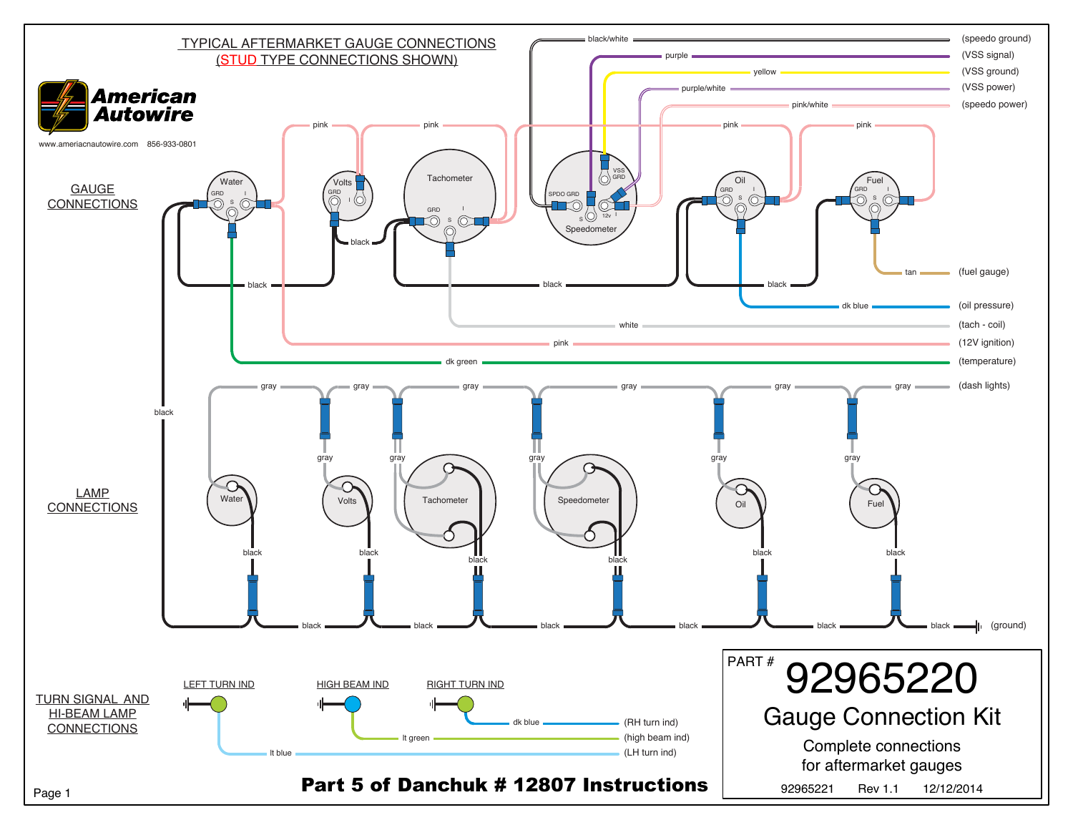